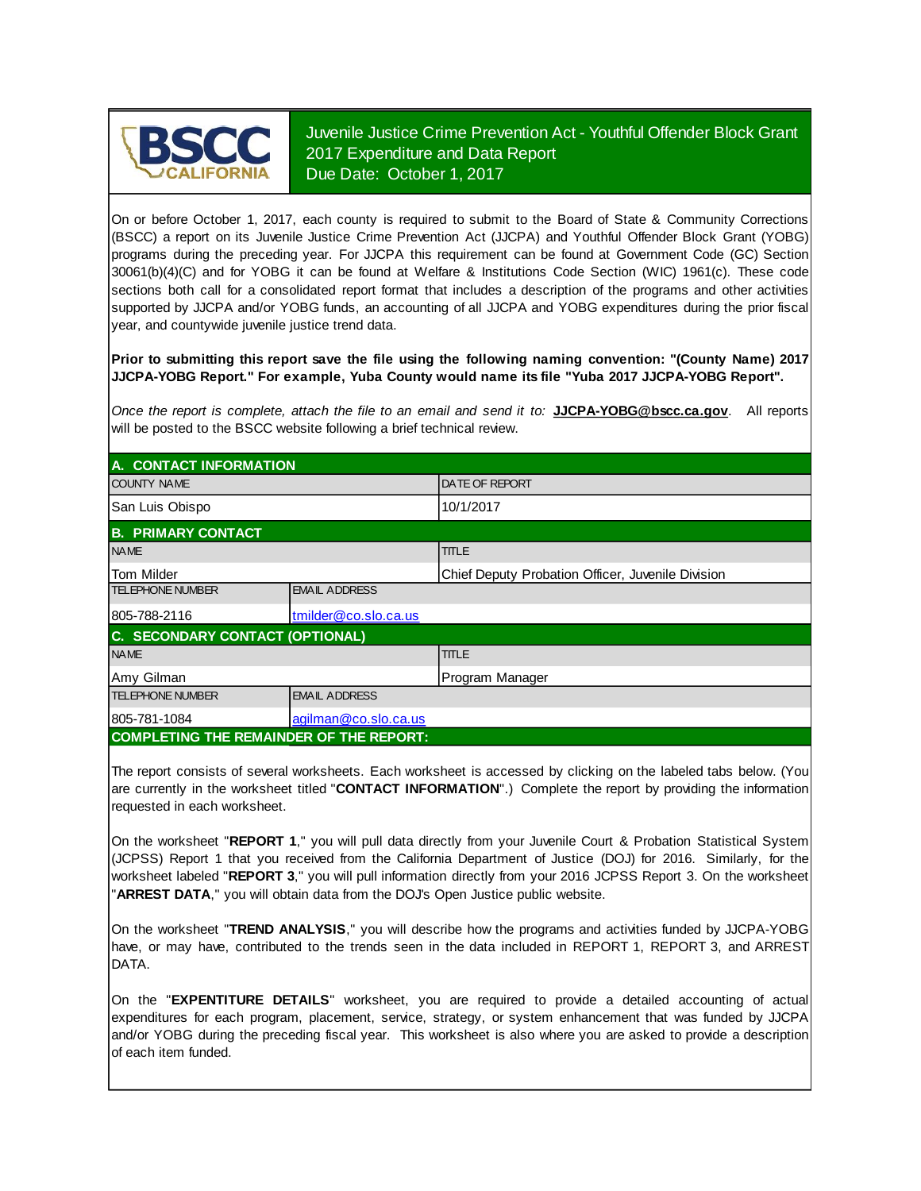

Juvenile Justice Crime Prevention Act - Youthful Offender Block Grant 2017 Expenditure and Data Report Due Date: October 1, 2017

On or before October 1, 2017, each county is required to submit to the Board of State & Community Corrections (BSCC) <sup>a</sup> report on its Juvenile Justice Crime Prevention Act (JJCPA) and Youthful Offender Block Grant (YOBG) programs during the preceding year. For JJCPA this requirement can be found at Government Code (GC) Section 30061(b)(4)(C) and for YOBG it can be found at Welfare & Institutions Code Section (WIC) 1961(c). These code sections both call for <sup>a</sup> consolidated report format that includes <sup>a</sup> description of the programs and other activities supported by JJCPA and/or YOBG funds, an accounting of all JJCPA and YOBG expenditures during the prior fiscal year, and countywide juvenile justice trend data.

**Prior to submitting this report save the file using the following naming convention: "(County Name) 2017 JJCPA-YOBG Report." For example, Yuba County would name its file "Yuba 2017 JJCPA-YOBG Report".**

*Once the report is complete, attach the file t o an email and send it to:* **JJCPA-YOBG@bscc.ca.gov**. All reports will be posted to the BSCC website following a brief technical review.

| A. CONTACT INFORMATION                         |                      |                                                   |  |  |  |
|------------------------------------------------|----------------------|---------------------------------------------------|--|--|--|
| <b>COUNTY NAME</b>                             |                      | <b>IDATE OF REPORT</b>                            |  |  |  |
| San Luis Obispo                                |                      | 10/1/2017                                         |  |  |  |
| <b>B. PRIMARY CONTACT</b>                      |                      |                                                   |  |  |  |
| <b>NAME</b>                                    |                      | <b>TITLE</b>                                      |  |  |  |
| <b>Tom Milder</b>                              |                      | Chief Deputy Probation Officer, Juvenile Division |  |  |  |
| <b>TELEPHONE NUMBER</b>                        | <b>EMAIL ADDRESS</b> |                                                   |  |  |  |
| 805-788-2116                                   | tmilder@co.slo.ca.us |                                                   |  |  |  |
| C. SECONDARY CONTACT (OPTIONAL)                |                      |                                                   |  |  |  |
| <b>NAME</b>                                    |                      | <b>TITLE</b>                                      |  |  |  |
| Amy Gilman                                     |                      | Program Manager                                   |  |  |  |
| <b>TELEPHONE NUMBER</b>                        | <b>EMAIL ADDRESS</b> |                                                   |  |  |  |
| 805-781-1084                                   | agilman@co.slo.ca.us |                                                   |  |  |  |
| <b>COMPLETING THE REMAINDER OF THE REPORT:</b> |                      |                                                   |  |  |  |

The report consists of several worksheets. Each worksheet is accessed by clicking on the labeled tabs below. (You are currently in the worksheet titled "**CONTACT INFORMATION**".) Complete the report by providing the information requested in each worksheet.

On the worksheet "**REPORT 1**, " you will pull data directly from your Juvenile Court & Probation Statistical System (JCPSS) Report 1 that you received from the California Department of Justice (DOJ) for 2016. Similarly, for the worksheet labeled "**REPORT 3**, " you will pull information directly from your 2016 JCPSS Report 3. On the worksheet "**ARREST DATA**," you will obtain data from the DOJ's Open Justice public website.

On the worksheet "**TREND ANALYSIS**, " you will describe how the programs and activities funded by JJCPA-YOBG have, or may have, contributed to the trends seen in the data included in REPORT 1, REPORT 3, and ARREST DATA.

On the "EXPENTITURE DETAILS" worksheet, you are required to provide a detailed accounting of actual expenditures for each program, placement, service, strategy, or system enhancement that was funded by JJCPA and/or YOBG during the preceding fiscal year. This worksheet is also where you are asked to provide a description of each item funded.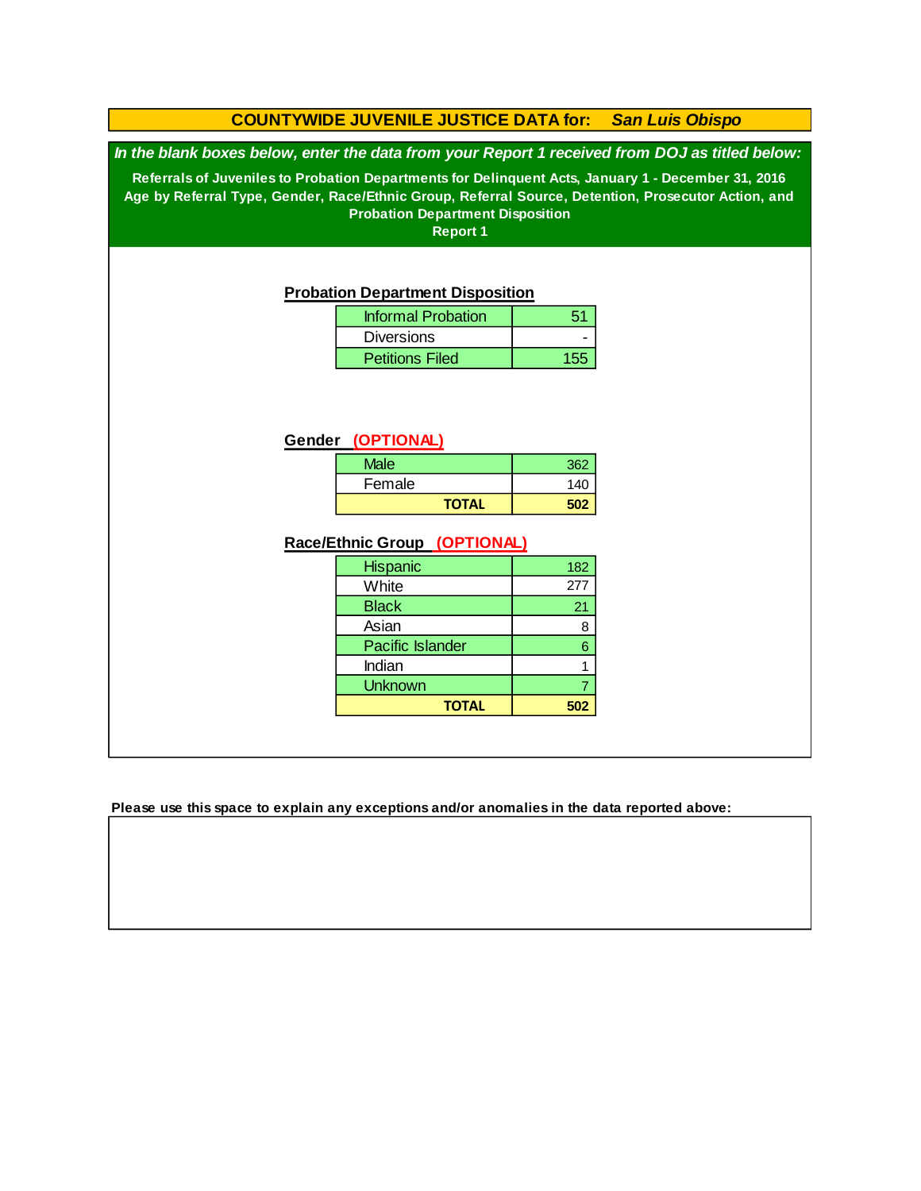### **COUNTYWIDE JUVENILE JUSTICE DATA for:** *San Luis Obispo*

*In the blank boxes below, enter the data from your Report 1 received from DOJ as titled below:*

**Referrals of Juveniles to Probation Departments for Delinquent Acts, January 1 - December 31, 2016 Age by Referral Type, Gender, Race/Ethnic Group, Referral Source, Detention, Prosecutor Action, and Probation Department Disposition**

**Report 1**

#### **Probation Department Disposition**

| <b>Informal Probation</b> | 51  |
|---------------------------|-----|
| <b>Diversions</b>         |     |
| <b>Petitions Filed</b>    | 155 |

### **Gender (OPTIONAL)**

| <b>Male</b>  | 362 |
|--------------|-----|
| Female       | 140 |
| <b>TOTAL</b> | מח  |

### **Race/Ethnic Group (OPTIONAL)**

| <b>Hispanic</b>         | 182 |
|-------------------------|-----|
| White                   | 277 |
| <b>Black</b>            | 21  |
| Asian                   | 8   |
| <b>Pacific Islander</b> | 6   |
| Indian                  |     |
| <b>Unknown</b>          |     |
| <b>TOTAL</b>            | 502 |

**Please use this space to explain any exceptions and/or anomalies in the data reported above:**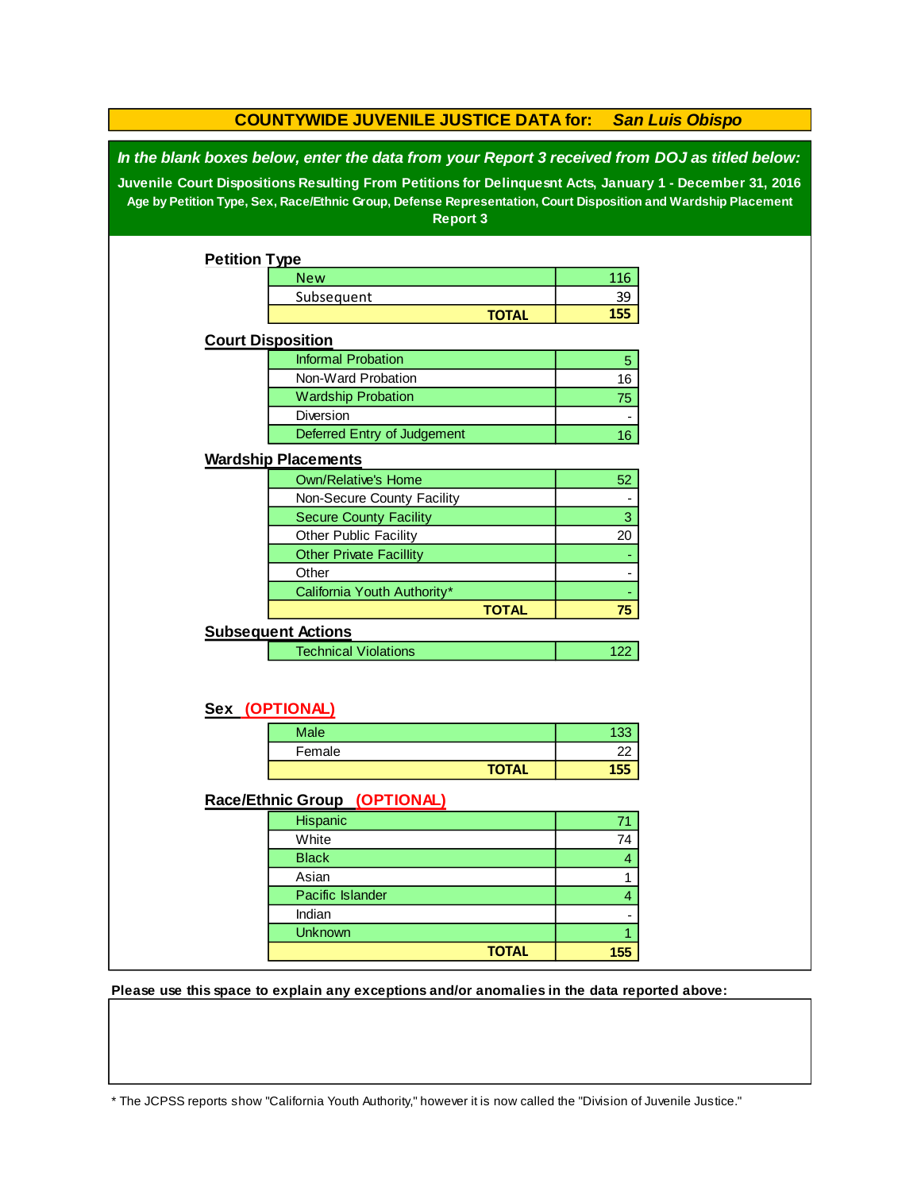|                                                                                                                                                                                                            | <b>COUNTYWIDE JUVENILE JUSTICE DATA for:</b>                                                                                      |              |                  | <b>San Luis Obispo</b> |  |  |
|------------------------------------------------------------------------------------------------------------------------------------------------------------------------------------------------------------|-----------------------------------------------------------------------------------------------------------------------------------|--------------|------------------|------------------------|--|--|
| In the blank boxes below, enter the data from your Report 3 received from DOJ as titled below:<br>Juvenile Court Dispositions Resulting From Petitions for Delinquesnt Acts, January 1 - December 31, 2016 |                                                                                                                                   |              |                  |                        |  |  |
|                                                                                                                                                                                                            | Age by Petition Type, Sex, Race/Ethnic Group, Defense Representation, Court Disposition and Wardship Placement<br><b>Report 3</b> |              |                  |                        |  |  |
|                                                                                                                                                                                                            |                                                                                                                                   |              |                  |                        |  |  |
| <b>Petition Type</b>                                                                                                                                                                                       |                                                                                                                                   |              |                  |                        |  |  |
|                                                                                                                                                                                                            | <b>New</b>                                                                                                                        |              | 116              |                        |  |  |
|                                                                                                                                                                                                            | Subsequent                                                                                                                        |              | <u>39</u><br>155 |                        |  |  |
|                                                                                                                                                                                                            |                                                                                                                                   | <b>TOTAL</b> |                  |                        |  |  |
|                                                                                                                                                                                                            | <b>Court Disposition</b>                                                                                                          |              |                  |                        |  |  |
|                                                                                                                                                                                                            | <b>Informal Probation</b>                                                                                                         |              | 5                |                        |  |  |
|                                                                                                                                                                                                            | Non-Ward Probation                                                                                                                |              | 16               |                        |  |  |
|                                                                                                                                                                                                            | <b>Wardship Probation</b>                                                                                                         |              | 75               |                        |  |  |
|                                                                                                                                                                                                            | Diversion                                                                                                                         |              | $\overline{a}$   |                        |  |  |
|                                                                                                                                                                                                            | Deferred Entry of Judgement                                                                                                       |              | 16               |                        |  |  |
|                                                                                                                                                                                                            | <b>Wardship Placements</b>                                                                                                        |              |                  |                        |  |  |
|                                                                                                                                                                                                            | <b>Own/Relative's Home</b>                                                                                                        |              | 52               |                        |  |  |
|                                                                                                                                                                                                            | Non-Secure County Facility                                                                                                        |              |                  |                        |  |  |
|                                                                                                                                                                                                            | <b>Secure County Facility</b>                                                                                                     |              | 3                |                        |  |  |
|                                                                                                                                                                                                            | Other Public Facility                                                                                                             |              | 20               |                        |  |  |
|                                                                                                                                                                                                            | <b>Other Private Facillity</b>                                                                                                    |              |                  |                        |  |  |
|                                                                                                                                                                                                            | Other                                                                                                                             |              |                  |                        |  |  |
|                                                                                                                                                                                                            | California Youth Authority*                                                                                                       |              |                  |                        |  |  |
|                                                                                                                                                                                                            |                                                                                                                                   | <b>TOTAL</b> | 75               |                        |  |  |
|                                                                                                                                                                                                            | <b>Subsequent Actions</b>                                                                                                         |              |                  |                        |  |  |
|                                                                                                                                                                                                            | <b>Technical Violations</b>                                                                                                       |              | 122              |                        |  |  |
|                                                                                                                                                                                                            |                                                                                                                                   |              |                  |                        |  |  |
|                                                                                                                                                                                                            |                                                                                                                                   |              |                  |                        |  |  |
|                                                                                                                                                                                                            | Sex (OPTIONAL)                                                                                                                    |              |                  |                        |  |  |
|                                                                                                                                                                                                            | Male                                                                                                                              |              | 133              |                        |  |  |
|                                                                                                                                                                                                            | Female                                                                                                                            |              | 22               |                        |  |  |
|                                                                                                                                                                                                            |                                                                                                                                   | <b>TOTAL</b> | 155              |                        |  |  |
|                                                                                                                                                                                                            | Race/Ethnic Group (OPTIONAL)                                                                                                      |              |                  |                        |  |  |
|                                                                                                                                                                                                            | Hispanic                                                                                                                          |              | 71               |                        |  |  |
|                                                                                                                                                                                                            | White                                                                                                                             |              | 74               |                        |  |  |
|                                                                                                                                                                                                            | <b>Black</b>                                                                                                                      |              | 4                |                        |  |  |
|                                                                                                                                                                                                            | Asian                                                                                                                             |              | 1                |                        |  |  |
|                                                                                                                                                                                                            | Pacific Islander                                                                                                                  |              | $\overline{4}$   |                        |  |  |
|                                                                                                                                                                                                            | Indian                                                                                                                            |              |                  |                        |  |  |
|                                                                                                                                                                                                            | Unknown                                                                                                                           |              | $\mathbf{1}$     |                        |  |  |
|                                                                                                                                                                                                            |                                                                                                                                   | <b>TOTAL</b> | 155              |                        |  |  |
|                                                                                                                                                                                                            |                                                                                                                                   |              |                  |                        |  |  |

**Please use this space to explain any exceptions and/or anomalies in the data reported above:** 

\* The JCPSS reports show "California Youth Authority," however it is now called the "Division of Juvenile Justice."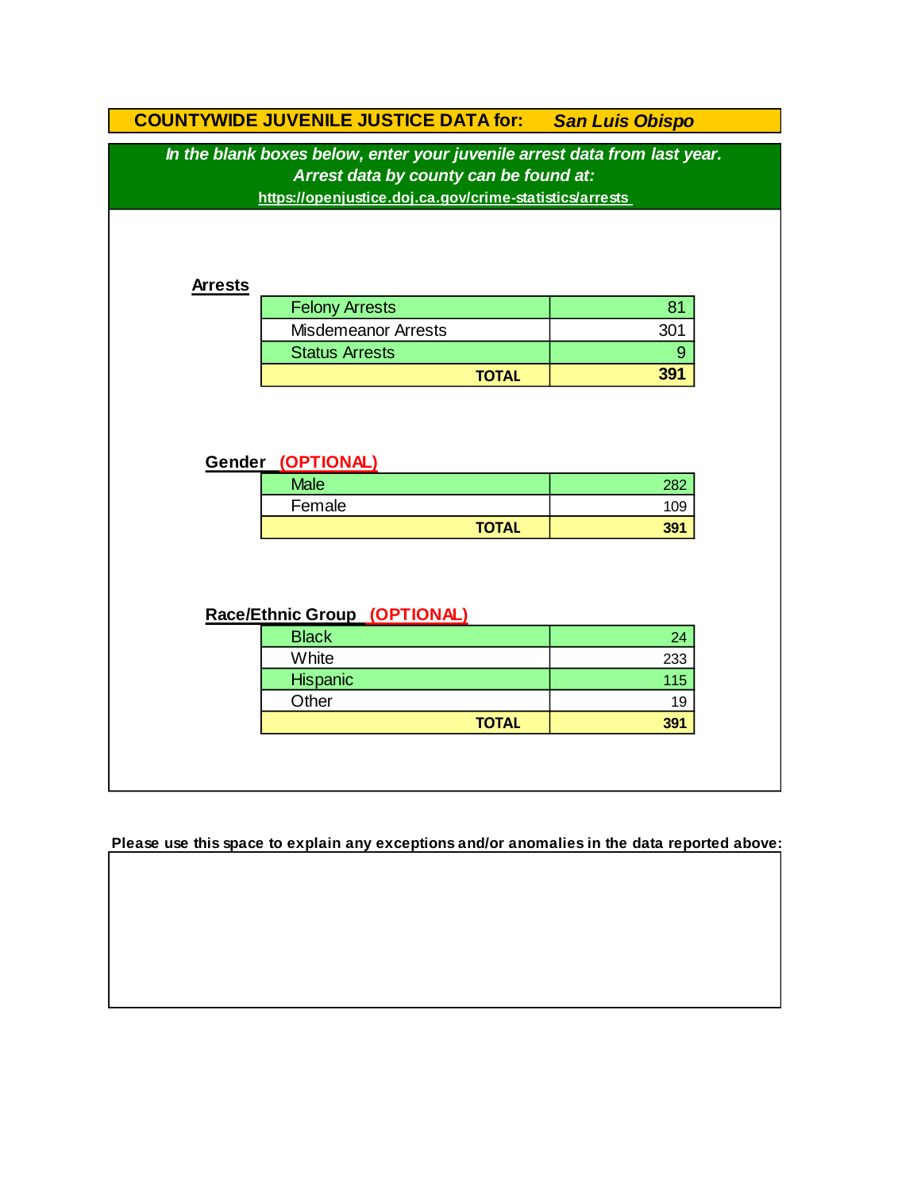|                                                                                                                                                                                | <b>COUNTYWIDE JUVENILE JUSTICE DATA for: San Luis Obispo</b> |     |  |  |  |  |
|--------------------------------------------------------------------------------------------------------------------------------------------------------------------------------|--------------------------------------------------------------|-----|--|--|--|--|
| In the blank boxes below, enter your juvenile arrest data from last year.<br>Arrest data by county can be found at:<br>https://openjustice.doj.ca.gov/crime-statistics/arrests |                                                              |     |  |  |  |  |
| <b>Arrests</b>                                                                                                                                                                 |                                                              |     |  |  |  |  |
|                                                                                                                                                                                | <b>Felony Arrests</b>                                        | 81  |  |  |  |  |
|                                                                                                                                                                                | <b>Misdemeanor Arrests</b>                                   | 301 |  |  |  |  |
|                                                                                                                                                                                | <b>Status Arrests</b>                                        | 9   |  |  |  |  |
|                                                                                                                                                                                | <b>TOTAL</b>                                                 | 391 |  |  |  |  |
|                                                                                                                                                                                | Gender (OPTIONAL)<br><b>Male</b>                             | 282 |  |  |  |  |
|                                                                                                                                                                                | Female                                                       | 109 |  |  |  |  |
|                                                                                                                                                                                | <b>TOTAL</b>                                                 | 391 |  |  |  |  |
| Race/Ethnic Group (OPTIONAL)                                                                                                                                                   |                                                              |     |  |  |  |  |
|                                                                                                                                                                                | <b>Black</b>                                                 | 24  |  |  |  |  |
|                                                                                                                                                                                | White                                                        | 233 |  |  |  |  |
|                                                                                                                                                                                | Hispanic                                                     | 115 |  |  |  |  |
|                                                                                                                                                                                | Other                                                        | 19  |  |  |  |  |
|                                                                                                                                                                                | <b>TOTAL</b>                                                 | 391 |  |  |  |  |
|                                                                                                                                                                                |                                                              |     |  |  |  |  |

**Please use this space to explain any exceptions and/or anomalies in the data reported above:**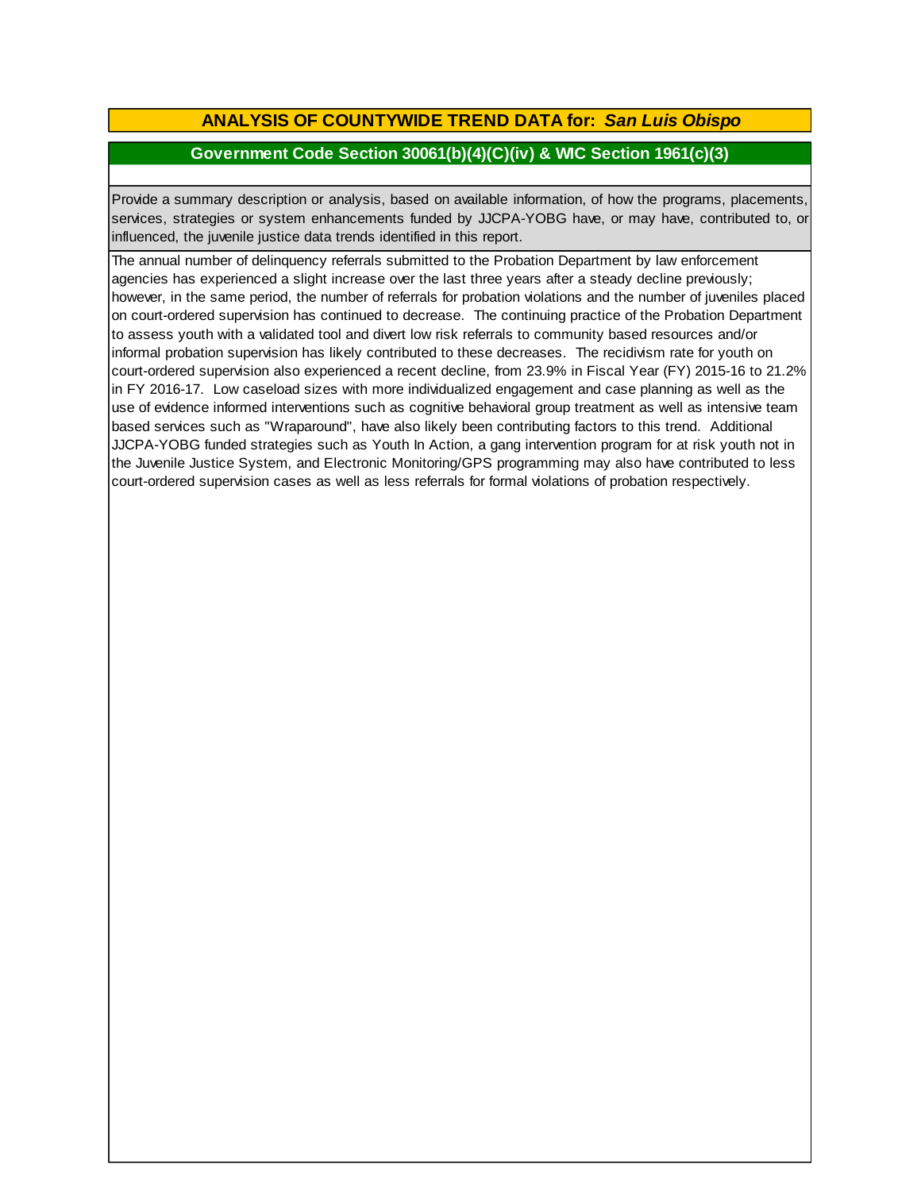# **ANALYSIS OF COUNTYWIDE TREND DATA for:** *San Luis Obispo*

## **Government Code Section 30061(b)(4)(C)(iv) & WIC Section 1961(c)(3)**

Provide <sup>a</sup> summary description or analysis, based on available information, of how the programs, placements, services, strategies or system enhancements funded by JJCPA-YOBG have, or may have, contributed to, or influenced, the juvenile justice data trends identified in this report.

The annual number of delinquency referrals submitted to the Probation Department by law enforcement agencies has experienced a slight increase over the last three years after a steady decline previously; however, in the same period, the number of referrals for probation violations and the number of juveniles placed on court-ordered supervision has continued to decrease. The continuing practice of the Probation Department to assess youth with a validated tool and divert low risk referrals to community based resources and/or informal probation supervision has likely contributed to these decreases. The recidivism rate for youth on court-ordered supervision also experienced a recent decline, from 23.9% in Fiscal Year (FY) 2015-16 to 21.2% in FY 2016-17. Low caseload sizes with more individualized engagement and case planning as well as the use of evidence informed interventions such as cognitive behavioral group treatment as well as intensive team based services such as "Wraparound", have also likely been contributing factors to this trend. Additional JJCPA-YOBG funded strategies such as Youth In Action, a gang intervention program for at risk youth not in the Juvenile Justice System, and Electronic Monitoring/GPS programming may also have contributed to less court-ordered supervision cases as well as less referrals for formal violations of probation respectively.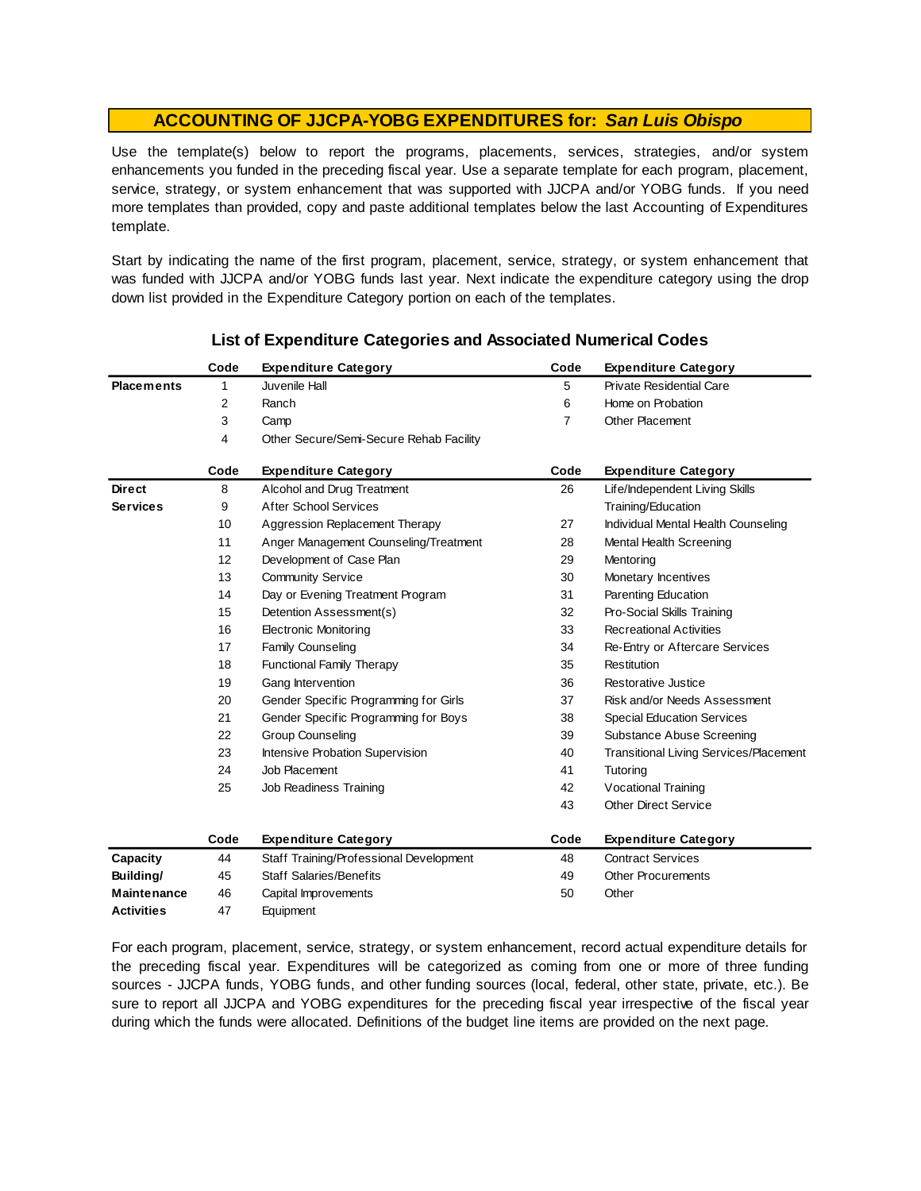Use the template(s) below to report the programs, placements, services, strategies, and/or system enhancements you funded in the preceding fiscal year. Use <sup>a</sup> separate template for each program, placement, service, strategy, or system enhancement that was supported with JJCPA and/or YOBG funds. If you need more templates than provided, copy and paste additional templates below the last Accounting of Expenditures template.

Start by indicating the name of the first program, placement, service, strategy, or system enhancement that was funded with JJCPA and/or YOBG funds last year. Next indicate the expenditure category using the drop down list provided in the Expenditure Category portion on each of the templates.

|                    | Code | <b>Expenditure Category</b>             | Code | <b>Expenditure Category</b>                   |
|--------------------|------|-----------------------------------------|------|-----------------------------------------------|
| <b>Placements</b>  | 1    | Juvenile Hall                           | 5    | <b>Private Residential Care</b>               |
|                    | 2    | Ranch                                   | 6    | Home on Probation                             |
|                    | 3    | Camp                                    | 7    | <b>Other Placement</b>                        |
|                    | 4    | Other Secure/Semi-Secure Rehab Facility |      |                                               |
|                    | Code | <b>Expenditure Category</b>             | Code | <b>Expenditure Category</b>                   |
| <b>Direct</b>      | 8    | Alcohol and Drug Treatment              | 26   | Life/Independent Living Skills                |
| <b>Services</b>    | 9    | <b>After School Services</b>            |      | Training/Education                            |
|                    | 10   | Aggression Replacement Therapy          | 27   | Individual Mental Health Counseling           |
|                    | 11   | Anger Management Counseling/Treatment   | 28   | Mental Health Screening                       |
|                    | 12   | Development of Case Plan                | 29   | Mentoring                                     |
|                    | 13   | <b>Community Service</b>                | 30   | Monetary Incentives                           |
|                    | 14   | Day or Evening Treatment Program        | 31   | Parenting Education                           |
|                    | 15   | Detention Assessment(s)                 | 32   | Pro-Social Skills Training                    |
|                    | 16   | <b>Electronic Monitoring</b>            | 33   | <b>Recreational Activities</b>                |
|                    | 17   | Family Counseling                       | 34   | Re-Entry or Aftercare Services                |
|                    | 18   | <b>Functional Family Therapy</b>        | 35   | Restitution                                   |
|                    | 19   | Gang Intervention                       | 36   | Restorative Justice                           |
|                    | 20   | Gender Specific Programming for Girls   | 37   | Risk and/or Needs Assessment                  |
|                    | 21   | Gender Specific Programming for Boys    | 38   | <b>Special Education Services</b>             |
|                    | 22   | <b>Group Counseling</b>                 | 39   | Substance Abuse Screening                     |
|                    | 23   | Intensive Probation Supervision         | 40   | <b>Transitional Living Services/Placement</b> |
|                    | 24   | Job Placement                           | 41   | Tutoring                                      |
|                    | 25   | Job Readiness Training                  | 42   | <b>Vocational Training</b>                    |
|                    |      |                                         | 43   | <b>Other Direct Service</b>                   |
|                    | Code | <b>Expenditure Category</b>             | Code | <b>Expenditure Category</b>                   |
| Capacity           | 44   | Staff Training/Professional Development | 48   | <b>Contract Services</b>                      |
| Building/          | 45   | <b>Staff Salaries/Benefits</b>          | 49   | <b>Other Procurements</b>                     |
| <b>Maintenance</b> | 46   | Capital Improvements                    | 50   | Other                                         |
| Activities         | 47   | Equipment                               |      |                                               |

### **List of Expenditure Categories and Associated Numerical Codes**

For each program, placement, service, strategy, or system enhancement, record actual expenditure details for the preceding fiscal year. Expenditures will be categorized as coming from one or more of three funding sources - JJCPA funds, YOBG funds, and other funding sources (local, federal, other state, private, etc.). Be sure to report all JJCPA and YOBG expenditures for the preceding fiscal year irrespective of the fiscal year during which the funds were allocated. Definitions of the budget line items are provided on the next page.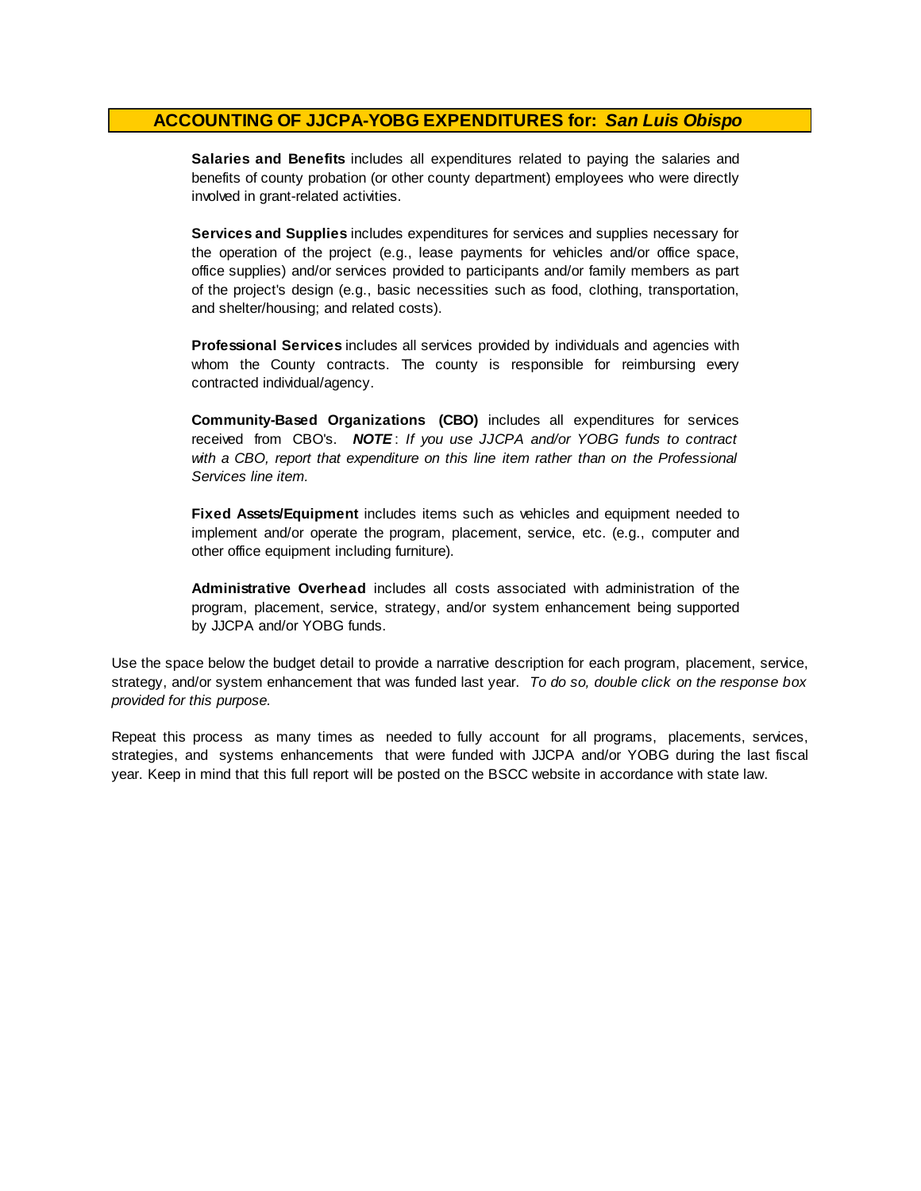**Salaries and Benefits** includes all expenditures related to paying the salaries and benefits of county probation (or other county department) employees who were directly involved in grant-related activities.

**Services and Supplies** includes expenditures for services and supplies necessary for the operation of the project (e.g., lease payments for vehicles and/or office space, office supplies) and/or services provided to participants and/or family members as part of the project's design (e.g., basic necessities such as food, clothing, transportation, and shelter/housing; and related costs).

**Professional Services** includes all services provided by individuals and agencies with whom the County contracts. The county is responsible for reimbursing every contracted individual/agency.

**Community-Based Organizations (CBO)** includes all expenditures for services received from CBO's. *NOTE* : *I f you use JJCPA and/or YOBG funds t o contract with <sup>a</sup> CBO, report that expenditure on this line item rather than on the Professional Services line item.*

**Fixed Assets/Equipment** includes items such as vehicles and equipment needed to implement and/or operate the program, placement, service, etc. (e.g., computer and other office equipment including furniture).

**Administrative Overhead** includes all costs associated with administration of the program, placement, service, strategy, and/or system enhancement being supported by JJCPA and/or YOBG funds.

Use the space below the budget detail to provide a narrative description for each program, placement, service, strategy, and/or system enhancement that was funded last year. *To do so, double click on the response box provided for this purpose.* 

Repeat this process as many times as needed to fully account for all programs, placements, services, strategies, and systems enhancements that were funded with JJCPA and/or YOBG during the last fiscal year. Keep in mind that this full report will be posted on the BSCC website in accordance with state law.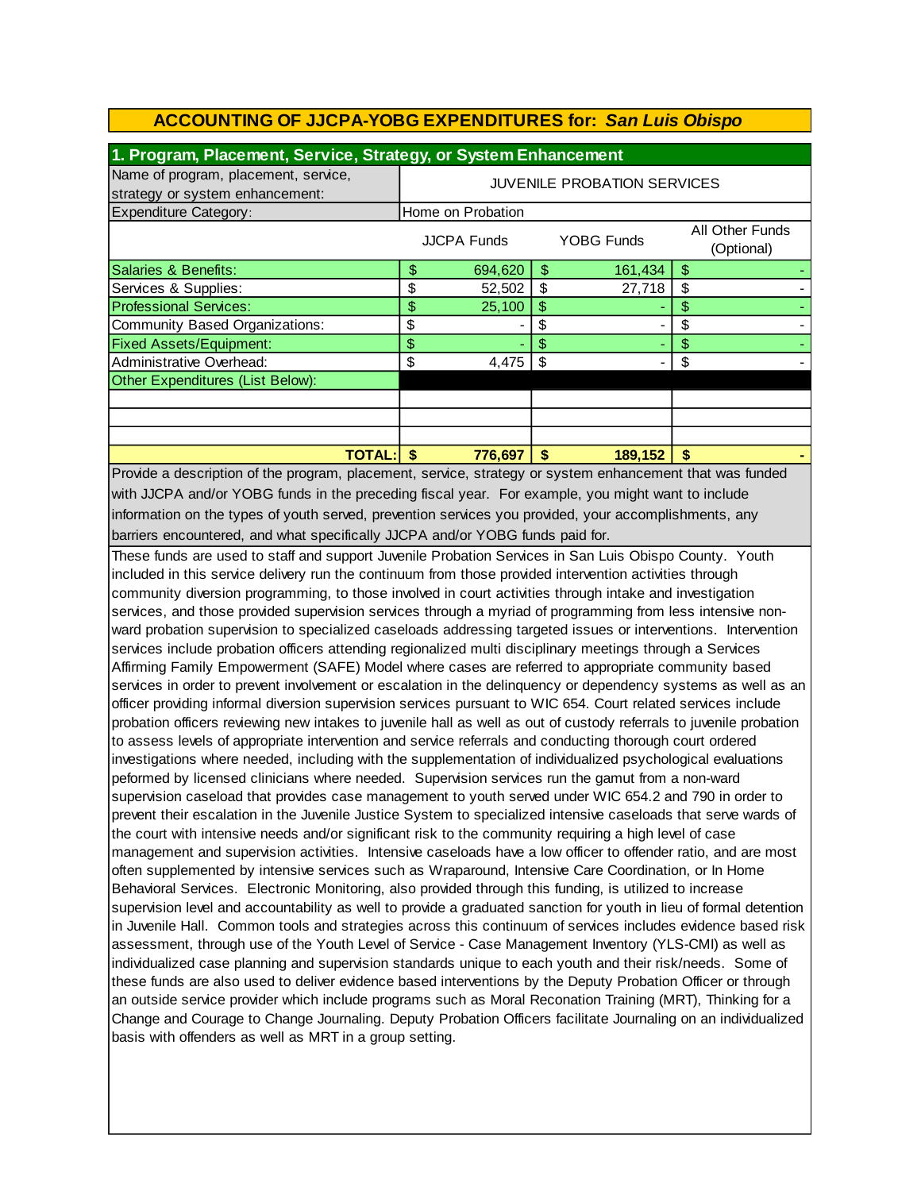| 1. Program, Placement, Service, Strategy, or System Enhancement         |                                    |                   |    |                   |   |                               |  |
|-------------------------------------------------------------------------|------------------------------------|-------------------|----|-------------------|---|-------------------------------|--|
| Name of program, placement, service,<br>strategy or system enhancement: | <b>JUVENILE PROBATION SERVICES</b> |                   |    |                   |   |                               |  |
| <b>Expenditure Category:</b>                                            |                                    | Home on Probation |    |                   |   |                               |  |
|                                                                         |                                    | JJCPA Funds       |    | <b>YOBG Funds</b> |   | All Other Funds<br>(Optional) |  |
| Salaries & Benefits:                                                    | \$                                 | 694,620           | \$ | 161,434           | S |                               |  |
| Services & Supplies:                                                    | \$                                 | 52,502            | \$ | 27,718            | S |                               |  |
| <b>Professional Services:</b>                                           | \$                                 | 25,100            | S  |                   |   |                               |  |
| Community Based Organizations:                                          | \$                                 |                   | S  |                   |   |                               |  |
| <b>Fixed Assets/Equipment:</b>                                          | \$                                 |                   | \$ |                   |   |                               |  |
| Administrative Overhead:                                                | \$                                 | 4,475             |    |                   |   |                               |  |
| Other Expenditures (List Below):                                        |                                    |                   |    |                   |   |                               |  |
|                                                                         |                                    |                   |    |                   |   |                               |  |
|                                                                         |                                    |                   |    |                   |   |                               |  |
|                                                                         |                                    |                   |    |                   |   |                               |  |
| TOTAL: l                                                                | S                                  | 776,697           | S  | 189,152           | S |                               |  |

with JJCPA and/or YOBG funds in the preceding fiscal year. For example, you might want to include information on the types of youth served, prevention services you provided, your accomplishments, any barriers encountered, and what specifically JJCPA and/or YOBG funds paid for. Provide a description of the program, placement, service, strategy or system enhancement that was funded

These funds are used to staff and support Juvenile Probation Services in San Luis Obispo County. Youth included in this service delivery run the continuum from those provided intervention activities through community diversion programming, to those involved in court activities through intake and investigation services, and those provided supervision services through a myriad of programming from less intensive nonward probation supervision to specialized caseloads addressing targeted issues or interventions. Intervention services include probation officers attending regionalized multi disciplinary meetings through a Services Affirming Family Empowerment (SAFE) Model where cases are referred to appropriate community based services in order to prevent involvement or escalation in the delinquency or dependency systems as well as an officer providing informal diversion supervision services pursuant to WIC 654. Court related services include probation officers reviewing new intakes to juvenile hall as well as out of custody referrals to juvenile probation to assess levels of appropriate intervention and service referrals and conducting thorough court ordered investigations where needed, including with the supplementation of individualized psychological evaluations peformed by licensed clinicians where needed. Supervision services run the gamut from a non-ward supervision caseload that provides case management to youth served under WIC 654.2 and 790 in order to prevent their escalation in the Juvenile Justice System to specialized intensive caseloads that serve wards of the court with intensive needs and/or significant risk to the community requiring a high level of case management and supervision activities. Intensive caseloads have a low officer to offender ratio, and are most often supplemented by intensive services such as Wraparound, Intensive Care Coordination, or In Home Behavioral Services. Electronic Monitoring, also provided through this funding, is utilized to increase supervision level and accountability as well to provide a graduated sanction for youth in lieu of formal detention in Juvenile Hall. Common tools and strategies across this continuum of services includes evidence based risk assessment, through use of the Youth Level of Service - Case Management Inventory (YLS-CMI) as well as individualized case planning and supervision standards unique to each youth and their risk/needs. Some of these funds are also used to deliver evidence based interventions by the Deputy Probation Officer or through an outside service provider which include programs such as Moral Reconation Training (MRT), Thinking for a Change and Courage to Change Journaling. Deputy Probation Officers facilitate Journaling on an individualized basis with offenders as well as MRT in a group setting.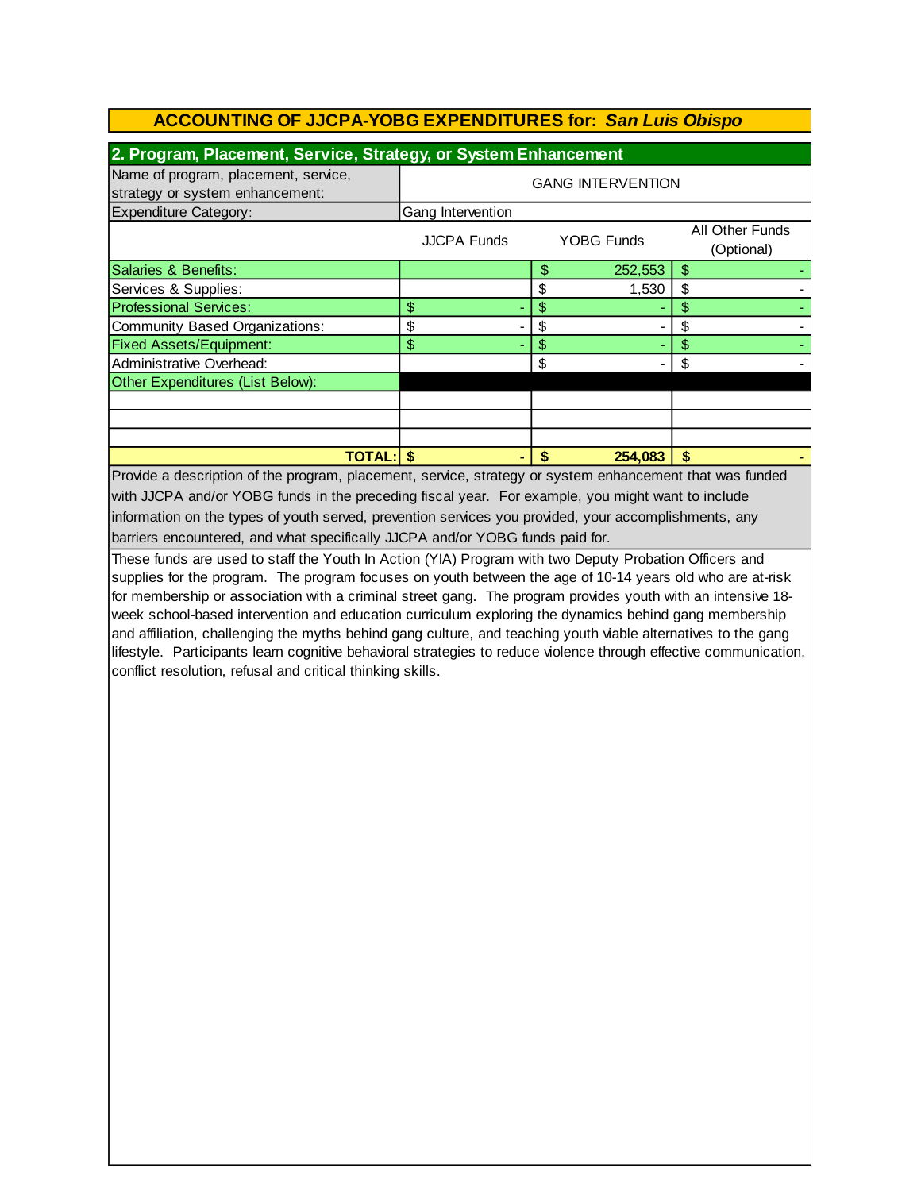| 2. Program, Placement, Service, Strategy, or System Enhancement         |                          |    |            |    |                               |  |  |
|-------------------------------------------------------------------------|--------------------------|----|------------|----|-------------------------------|--|--|
| Name of program, placement, service,<br>strategy or system enhancement: | <b>GANG INTERVENTION</b> |    |            |    |                               |  |  |
| <b>Expenditure Category:</b>                                            | Gang Intervention        |    |            |    |                               |  |  |
|                                                                         | <b>JJCPA Funds</b>       |    | YOBG Funds |    | All Other Funds<br>(Optional) |  |  |
| Salaries & Benefits:                                                    |                          | \$ | 252,553    | \$ |                               |  |  |
| Services & Supplies:                                                    |                          | \$ | 1,530      | \$ |                               |  |  |
| <b>Professional Services:</b>                                           | \$                       | \$ |            | \$ |                               |  |  |
| Community Based Organizations:                                          | \$                       | S  |            | \$ |                               |  |  |
| <b>Fixed Assets/Equipment:</b>                                          | \$                       | \$ |            | \$ |                               |  |  |
| Administrative Overhead:                                                |                          | \$ |            | \$ |                               |  |  |
| Other Expenditures (List Below):                                        |                          |    |            |    |                               |  |  |
|                                                                         |                          |    |            |    |                               |  |  |
|                                                                         |                          |    |            |    |                               |  |  |
|                                                                         |                          |    |            |    |                               |  |  |
| <b>TOTAL:</b>                                                           |                          | S  | 254,083    | S  |                               |  |  |

Provide a description of the program, placement, service, strategy or system enhancement that was funded with JJCPA and/or YOBG funds in the preceding fiscal year. For example, you might want to include barriers encountered, and what specifically JJCPA and/or YOBG funds paid for. information on the types of youth served, prevention services you provided, your accomplishments, any

These funds are used to staff the Youth In Action (YIA) Program with two Deputy Probation Officers and supplies for the program. The program focuses on youth between the age of 10-14 years old who are at-risk for membership or association with a criminal street gang. The program provides youth with an intensive 18 week school-based intervention and education curriculum exploring the dynamics behind gang membership and affiliation, challenging the myths behind gang culture, and teaching youth viable alternatives to the gang lifestyle. Participants learn cognitive behavioral strategies to reduce violence through effective communication, conflict resolution, refusal and critical thinking skills.